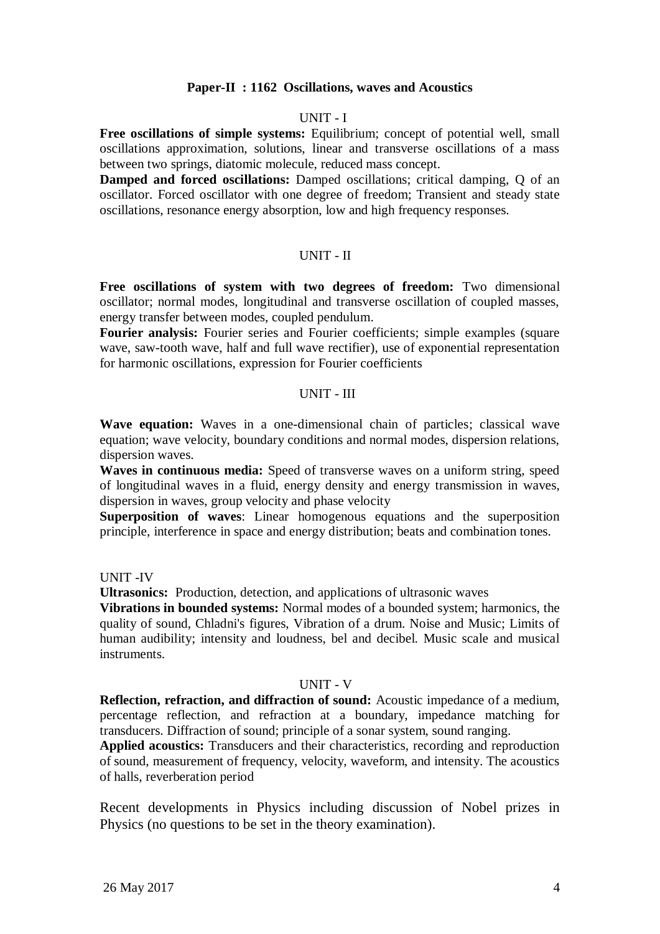## **Paper-II : 1162 Oscillations, waves and Acoustics**

#### UNIT - I

**Free oscillations of simple systems:** Equilibrium; concept of potential well, small oscillations approximation, solutions, linear and transverse oscillations of a mass between two springs, diatomic molecule, reduced mass concept.

**Damped and forced oscillations:** Damped oscillations; critical damping, Q of an oscillator. Forced oscillator with one degree of freedom; Transient and steady state oscillations, resonance energy absorption, low and high frequency responses.

#### UNIT - II

**Free oscillations of system with two degrees of freedom:** Two dimensional oscillator; normal modes, longitudinal and transverse oscillation of coupled masses, energy transfer between modes, coupled pendulum.

Fourier analysis: Fourier series and Fourier coefficients; simple examples (square wave, saw-tooth wave, half and full wave rectifier), use of exponential representation for harmonic oscillations, expression for Fourier coefficients

## UNIT - III

**Wave equation:** Waves in a one-dimensional chain of particles; classical wave equation; wave velocity, boundary conditions and normal modes, dispersion relations, dispersion waves.

**Waves in continuous media:** Speed of transverse waves on a uniform string, speed of longitudinal waves in a fluid, energy density and energy transmission in waves, dispersion in waves, group velocity and phase velocity

**Superposition of waves**: Linear homogenous equations and the superposition principle, interference in space and energy distribution; beats and combination tones.

#### UNIT -IV

**Ultrasonics:** Production, detection, and applications of ultrasonic waves

**Vibrations in bounded systems:** Normal modes of a bounded system; harmonics, the quality of sound, Chladni's figures, Vibration of a drum. Noise and Music; Limits of human audibility; intensity and loudness, bel and decibel. Music scale and musical instruments.

#### UNIT - V

**Reflection, refraction, and diffraction of sound:** Acoustic impedance of a medium, percentage reflection, and refraction at a boundary, impedance matching for transducers. Diffraction of sound; principle of a sonar system, sound ranging.

**Applied acoustics:** Transducers and their characteristics, recording and reproduction of sound, measurement of frequency, velocity, waveform, and intensity. The acoustics of halls, reverberation period

Recent developments in Physics including discussion of Nobel prizes in Physics (no questions to be set in the theory examination).